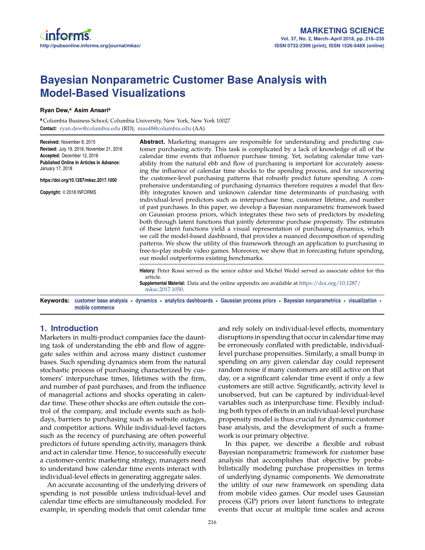# **Bayesian Nonparametric Customer Base Analysis with Model-Based Visualizations**

#### **Ryan Dew,<sup>a</sup> Asim Ansari<sup>a</sup>**

**<sup>a</sup>** Columbia Business School, Columbia University, New York, New York 10027 **Contact:** [ryan.dew@columbia.edu](mailto:ryan.dew@columbia.edu) (RD); [maa48@columbia.edu](mailto:maa48@columbia.edu) (AA)

**Received:** November 8, 2015 **Revised:** July 19, 2016; November 21, 2016 **Accepted:** December 12, 2016 **Published Online in Articles in Advance:** January 17, 2018 **https://doi.org/10.1287/mksc.2017.1050 Copyright:** © 2018 INFORMS **Abstract.** Marketing managers are responsible for understanding and predicting customer purchasing activity. This task is complicated by a lack of knowledge of all of the calendar time events that influence purchase timing. Yet, isolating calendar time variability from the natural ebb and flow of purchasing is important for accurately assessing the influence of calendar time shocks to the spending process, and for uncovering the customer-level purchasing patterns that robustly predict future spending. A comprehensive understanding of purchasing dynamics therefore requires a model that flexibly integrates known and unknown calendar time determinants of purchasing with individual-level predictors such as interpurchase time, customer lifetime, and number of past purchases. In this paper, we develop a Bayesian nonparametric framework based on Gaussian process priors, which integrates these two sets of predictors by modeling both through latent functions that jointly determine purchase propensity. The estimates of these latent functions yield a visual representation of purchasing dynamics, which we call the model-based dashboard, that provides a nuanced decomposition of spending patterns. We show the utility of this framework through an application to purchasing in free-to-play mobile video games. Moreover, we show that in forecasting future spending, our model outperforms existing benchmarks. **History:** Peter Rossi served as the senior editor and Michel Wedel served as associate editor for this article. **Supplemental Material:** Data and the online appendix are available at [https://doi.org/10.1287/](https://doi.org/10.1287/mksc.2017.1050) [mksc.2017.1050.](https://doi.org/10.1287/mksc.2017.1050) Keywords: customer base analysis · dynamics · analytics dashboards · Gaussian process priors · Bayesian nonparametrics · visualization · **mobile commerce**

## **1. Introduction**

Marketers in multi-product companies face the daunting task of understanding the ebb and flow of aggregate sales within and across many distinct customer bases. Such spending dynamics stem from the natural stochastic process of purchasing characterized by customers' interpurchase times, lifetimes with the firm, and number of past purchases, and from the influence of managerial actions and shocks operating in calendar time. These other shocks are often outside the control of the company, and include events such as holidays, barriers to purchasing such as website outages, and competitor actions. While individual-level factors such as the recency of purchasing are often powerful predictors of future spending activity, managers think and act in calendar time. Hence, to successfully execute a customer-centric marketing strategy, managers need to understand how calendar time events interact with individual-level effects in generating aggregate sales.

An accurate accounting of the underlying drivers of spending is not possible unless individual-level and calendar time effects are simultaneously modeled. For example, in spending models that omit calendar time

and rely solely on individual-level effects, momentary disruptions in spending that occur in calendar time may be erroneously conflated with predictable, individuallevel purchase propensities. Similarly, a small bump in spending on any given calendar day could represent random noise if many customers are still active on that day, or a significant calendar time event if only a few customers are still active. Significantly, activity level is unobserved, but can be captured by individual-level variables such as interpurchase time. Flexibly including both types of effects in an individual-level purchase propensity model is thus crucial for dynamic customer base analysis, and the development of such a framework is our primary objective.

In this paper, we describe a flexible and robust Bayesian nonparametric framework for customer base analysis that accomplishes that objective by probabilistically modeling purchase propensities in terms of underlying dynamic components. We demonstrate the utility of our new framework on spending data from mobile video games. Our model uses Gaussian process (GP) priors over latent functions to integrate events that occur at multiple time scales and across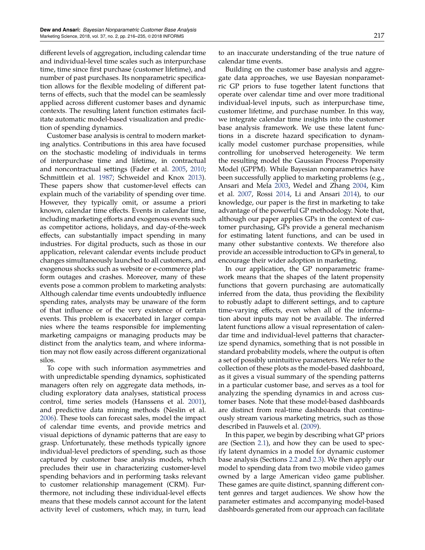different levels of aggregation, including calendar time and individual-level time scales such as interpurchase time, time since first purchase (customer lifetime), and number of past purchases. Its nonparametric specification allows for the flexible modeling of different patterns of effects, such that the model can be seamlessly applied across different customer bases and dynamic contexts. The resulting latent function estimates facilitate automatic model-based visualization and prediction of spending dynamics.

Customer base analysis is central to modern marketing analytics. Contributions in this area have focused on the stochastic modeling of individuals in terms of interpurchase time and lifetime, in contractual and noncontractual settings (Fader et al. [2005,](#page-19-0) [2010;](#page-19-1) Schmittlein et al. [1987;](#page-19-2) Schweidel and Knox [2013\)](#page-19-3). These papers show that customer-level effects can explain much of the variability of spending over time. However, they typically omit, or assume a priori known, calendar time effects. Events in calendar time, including marketing efforts and exogenous events such as competitor actions, holidays, and day-of-the-week effects, can substantially impact spending in many industries. For digital products, such as those in our application, relevant calendar events include product changes simultaneously launched to all customers, and exogenous shocks such as website or e-commerce platform outages and crashes. Moreover, many of these events pose a common problem to marketing analysts: Although calendar time events undoubtedly influence spending rates, analysts may be unaware of the form of that influence or of the very existence of certain events. This problem is exacerbated in larger companies where the teams responsible for implementing marketing campaigns or managing products may be distinct from the analytics team, and where information may not flow easily across different organizational silos.

To cope with such information asymmetries and with unpredictable spending dynamics, sophisticated managers often rely on aggregate data methods, including exploratory data analyses, statistical process control, time series models (Hanssens et al. [2001\)](#page-19-4), and predictive data mining methods (Neslin et al. [2006\)](#page-19-5). These tools can forecast sales, model the impact of calendar time events, and provide metrics and visual depictions of dynamic patterns that are easy to grasp. Unfortunately, these methods typically ignore individual-level predictors of spending, such as those captured by customer base analysis models, which precludes their use in characterizing customer-level spending behaviors and in performing tasks relevant to customer relationship management (CRM). Furthermore, not including these individual-level effects means that these models cannot account for the latent activity level of customers, which may, in turn, lead

to an inaccurate understanding of the true nature of calendar time events.

Building on the customer base analysis and aggregate data approaches, we use Bayesian nonparametric GP priors to fuse together latent functions that operate over calendar time and over more traditional individual-level inputs, such as interpurchase time, customer lifetime, and purchase number. In this way, we integrate calendar time insights into the customer base analysis framework. We use these latent functions in a discrete hazard specification to dynamically model customer purchase propensities, while controlling for unobserved heterogeneity. We term the resulting model the Gaussian Process Propensity Model (GPPM). While Bayesian nonparametrics have been successfully applied to marketing problems (e.g., Ansari and Mela [2003,](#page-19-6) Wedel and Zhang [2004,](#page-19-7) Kim et al. [2007,](#page-19-8) Rossi [2014,](#page-19-9) Li and Ansari [2014\)](#page-19-10), to our knowledge, our paper is the first in marketing to take advantage of the powerful GP methodology. Note that, although our paper applies GPs in the context of customer purchasing, GPs provide a general mechanism for estimating latent functions, and can be used in many other substantive contexts. We therefore also provide an accessible introduction to GPs in general, to encourage their wider adoption in marketing.

In our application, the GP nonparametric framework means that the shapes of the latent propensity functions that govern purchasing are automatically inferred from the data, thus providing the flexibility to robustly adapt to different settings, and to capture time-varying effects, even when all of the information about inputs may not be available. The inferred latent functions allow a visual representation of calendar time and individual-level patterns that characterize spend dynamics, something that is not possible in standard probability models, where the output is often a set of possibly unintuitive parameters. We refer to the collection of these plots as the model-based dashboard, as it gives a visual summary of the spending patterns in a particular customer base, and serves as a tool for analyzing the spending dynamics in and across customer bases. Note that these model-based dashboards are distinct from real-time dashboards that continuously stream various marketing metrics, such as those described in Pauwels et al. [\(2009\)](#page-19-11).

In this paper, we begin by describing what GP priors are (Section [2.1\)](#page-2-0), and how they can be used to specify latent dynamics in a model for dynamic customer base analysis (Sections [2.2](#page-5-0) and [2.3\)](#page-7-0). We then apply our model to spending data from two mobile video games owned by a large American video game publisher. These games are quite distinct, spanning different content genres and target audiences. We show how the parameter estimates and accompanying model-based dashboards generated from our approach can facilitate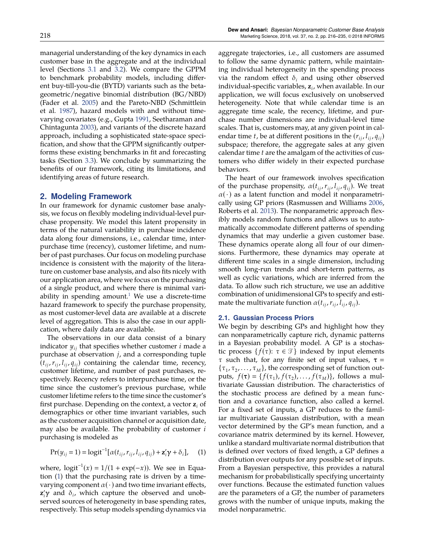managerial understanding of the key dynamics in each customer base in the aggregate and at the individual level (Sections [3.1](#page-9-0) and [3.2\)](#page-11-0). We compare the GPPM to benchmark probability models, including different buy-till-you-die (BYTD) variants such as the betageometric/negative binomial distribution (BG/NBD) (Fader et al. [2005\)](#page-19-0) and the Pareto-NBD (Schmittlein et al. [1987\)](#page-19-2), hazard models with and without timevarying covariates (e.g., Gupta [1991,](#page-19-12) Seetharaman and Chintagunta [2003\)](#page-19-13), and variants of the discrete hazard approach, including a sophisticated state-space specification, and show that the GPPM significantly outperforms these existing benchmarks in fit and forecasting tasks (Section [3.3\)](#page-15-0). We conclude by summarizing the benefits of our framework, citing its limitations, and identifying areas of future research.

## **2. Modeling Framework**

In our framework for dynamic customer base analysis, we focus on flexibly modeling individual-level purchase propensity. We model this latent propensity in terms of the natural variability in purchase incidence data along four dimensions, i.e., calendar time, interpurchase time (recency), customer lifetime, and number of past purchases. Our focus on modeling purchase incidence is consistent with the majority of the literature on customer base analysis, and also fits nicely with our application area, where we focus on the purchasing of a single product, and where there is minimal vari-ability in spending amount.<sup>[1](#page-18-0)</sup> We use a discrete-time hazard framework to specify the purchase propensity, as most customer-level data are available at a discrete level of aggregation. This is also the case in our application, where daily data are available.

The observations in our data consist of a binary indicator  $y_{ij}$  that specifies whether customer *i* made a purchase at observation *j*, and a corresponding tuple  $(t_{ij}, r_{ij}, l_{ij}, q_{ij})$  containing the calendar time, recency, customer lifetime, and number of past purchases, respectively. Recency refers to interpurchase time, or the time since the customer's previous purchase, while customer lifetime refers to the time since the customer's first purchase. Depending on the context, a vector  $z_i$  of demographics or other time invariant variables, such as the customer acquisition channel or acquisition date, may also be available. The probability of customer *i* purchasing is modeled as

<span id="page-2-1"></span>
$$
Pr(y_{ij} = 1) = logit^{-1}[\alpha(t_{ij}, r_{ij}, l_{ij}, q_{ij}) + \mathbf{z}'_i \mathbf{\gamma} + \delta_i], \quad (1)
$$

where,  $logit^{-1}(x) = 1/(1 + exp(-x))$ . We see in Equation [\(1\)](#page-2-1) that the purchasing rate is driven by a timevarying component  $\alpha(\cdot)$  and two time invariant effects,  $\mathbf{z}'_i$  $\delta_i$  and  $\delta_i$ , which capture the observed and unobserved sources of heterogeneity in base spending rates, respectively. This setup models spending dynamics via aggregate trajectories, i.e., all customers are assumed to follow the same dynamic pattern, while maintaining individual heterogeneity in the spending process via the random effect  $\delta_i$  and using other observed individual-specific variables, **z***<sup>i</sup>* , when available. In our application, we will focus exclusively on unobserved heterogeneity. Note that while calendar time is an aggregate time scale, the recency, lifetime, and purchase number dimensions are individual-level time scales. That is, customers may, at any given point in calendar time *t*, be at different positions in the  $(r_{ij}, l_{ij}, q_{ij})$ subspace; therefore, the aggregate sales at any given calendar time *t* are the amalgam of the activities of customers who differ widely in their expected purchase behaviors.

The heart of our framework involves specification of the purchase propensity,  $\alpha(t_{ij}, r_{ij}, l_{ij}, q_{ij})$ . We treat  $\alpha(\cdot)$  as a latent function and model it nonparametrically using GP priors (Rasmussen and Williams [2006,](#page-19-14) Roberts et al. [2013\)](#page-19-15). The nonparametric approach flexibly models random functions and allows us to automatically accommodate different patterns of spending dynamics that may underlie a given customer base. These dynamics operate along all four of our dimensions. Furthermore, these dynamics may operate at different time scales in a single dimension, including smooth long-run trends and short-term patterns, as well as cyclic variations, which are inferred from the data. To allow such rich structure, we use an additive combination of unidimensional GPs to specify and estimate the multivariate function  $\alpha(t_{ij}, r_{ij}, \tilde{l}_{ij}, q_{ij})$ .

#### <span id="page-2-2"></span><span id="page-2-0"></span>**2.1. Gaussian Process Priors**

We begin by describing GPs and highlight how they can nonparametrically capture rich, dynamic patterns in a Bayesian probability model. A GP is a stochastic process  $\{f(\tau): \tau \in \mathcal{T}\}\$  indexed by input elements τ such that, for any finite set of input values, τ  $\{\tau_1, \tau_2, \ldots, \tau_M\}$ , the corresponding set of function outputs,  $f(\tau) = \{f(\tau_1), f(\tau_2), \ldots, f(\tau_M)\},$  follows a multivariate Gaussian distribution. The characteristics of the stochastic process are defined by a mean function and a covariance function, also called a kernel. For a fixed set of inputs, a GP reduces to the familiar multivariate Gaussian distribution, with a mean vector determined by the GP's mean function, and a covariance matrix determined by its kernel. However, unlike a standard multivariate normal distribution that is defined over vectors of fixed length, a GP defines a distribution over outputs for any possible set of inputs. From a Bayesian perspective, this provides a natural mechanism for probabilistically specifying uncertainty over functions. Because the estimated function values are the parameters of a GP, the number of parameters grows with the number of unique inputs, making the model nonparametric.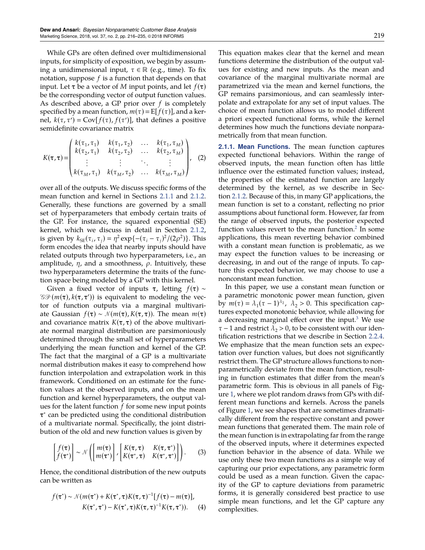While GPs are often defined over multidimensional inputs, for simplicity of exposition, we begin by assuming a unidimensional input,  $\tau \in \mathbb{R}$  (e.g., time). To fix notation, suppose *f* is a function that depends on that input. Let  $\tau$  be a vector of *M* input points, and let  $f(\tau)$ be the corresponding vector of output function values. As described above, a GP prior over *f* is completely specified by a mean function,  $m(\tau) = E[f(\tau)]$ , and a kernel,  $k(\tau, \tau') = \text{Cov}[f(\tau), f(\tau')]$ , that defines a positive semidefinite covariance matrix

$$
K(\tau,\tau) = \begin{pmatrix} k(\tau_1,\tau_1) & k(\tau_1,\tau_2) & \dots & k(\tau_1,\tau_M) \\ k(\tau_2,\tau_1) & k(\tau_2,\tau_2) & \dots & k(\tau_2,\tau_M) \\ \vdots & \vdots & \ddots & \vdots \\ k(\tau_M,\tau_1) & k(\tau_M,\tau_2) & \dots & k(\tau_M,\tau_M) \end{pmatrix},
$$
 (2)

over all of the outputs. We discuss specific forms of the mean function and kernel in Sections [2.1.1](#page-3-0) and [2.1.2.](#page-4-0) Generally, these functions are governed by a small set of hyperparameters that embody certain traits of the GP. For instance, the squared exponential (SE) kernel, which we discuss in detail in Section [2.1.2,](#page-4-0) is given by  $k_{SE}(\tau_i, \tau_j) = \eta^2 \exp\{-(\tau_i - \tau_j)^2/(2\rho^2)\}$ . This form encodes the idea that nearby inputs should have related outputs through two hyperparameters, i.e., an amplitude,  $\eta$ , and a smoothness,  $\rho$ . Intuitively, these two hyperparameters determine the traits of the function space being modeled by a GP with this kernel.

Given a fixed vector of inputs **τ**, letting  $f(\tau) \sim$  $\mathcal{GP}(m(\tau), k(\tau, \tau'))$  is equivalent to modeling the vector of function outputs via a marginal multivariate Gaussian  $f(\tau) \sim \mathcal{N}(m(\tau), K(\tau, \tau))$ . The mean  $m(\tau)$ and covariance matrix  $K(\tau, \tau)$  of the above multivariate normal marginal distribution are parsimoniously determined through the small set of hyperparameters underlying the mean function and kernel of the GP. The fact that the marginal of a GP is a multivariate normal distribution makes it easy to comprehend how function interpolation and extrapolation work in this framework. Conditioned on an estimate for the function values at the observed inputs, and on the mean function and kernel hyperparameters, the output values for the latent function *f* for some new input points τ ∗ can be predicted using the conditional distribution of a multivariate normal. Specifically, the joint distribution of the old and new function values is given by

$$
\begin{bmatrix} f(\tau) \\ f(\tau^*) \end{bmatrix} \sim \mathcal{N} \left( \begin{bmatrix} m(\tau) \\ m(\tau^*) \end{bmatrix}, \begin{bmatrix} K(\tau, \tau) & K(\tau, \tau^*) \\ K(\tau^*, \tau) & K(\tau^*, \tau^*) \end{bmatrix} \right). \tag{3}
$$

Hence, the conditional distribution of the new outputs can be written as

<span id="page-3-1"></span>
$$
f(\tau^*) \sim \mathcal{N}(m(\tau^*) + K(\tau^*, \tau)K(\tau, \tau)^{-1}[f(\tau) - m(\tau)],
$$
  
 
$$
K(\tau^*, \tau^*) - K(\tau^*, \tau)K(\tau, \tau)^{-1}K(\tau, \tau^*)
$$
 (4)

This equation makes clear that the kernel and mean functions determine the distribution of the output values for existing and new inputs. As the mean and covariance of the marginal multivariate normal are parametrized via the mean and kernel functions, the GP remains parsimonious, and can seamlessly interpolate and extrapolate for any set of input values. The choice of mean function allows us to model different a priori expected functional forms, while the kernel determines how much the functions deviate nonparametrically from that mean function.

<span id="page-3-0"></span>**2.1.1. Mean Functions.** The mean function captures expected functional behaviors. Within the range of observed inputs, the mean function often has little influence over the estimated function values; instead, the properties of the estimated function are largely determined by the kernel, as we describe in Section [2.1.2.](#page-4-0) Because of this, in many GP applications, the mean function is set to a constant, reflecting no prior assumptions about functional form. However, far from the range of observed inputs, the posterior expected function values revert to the mean function. $2$  In some applications, this mean reverting behavior combined with a constant mean function is problematic, as we may expect the function values to be increasing or decreasing, in and out of the range of inputs. To capture this expected behavior, we may choose to use a nonconstant mean function.

<span id="page-3-3"></span><span id="page-3-2"></span>In this paper, we use a constant mean function or a parametric monotonic power mean function, given by  $m(\tau) = \lambda_1(\tau - 1)^{\lambda_2}$ ,  $\lambda_2 > 0$ . This specification captures expected monotonic behavior, while allowing for a decreasing marginal effect over the input.<sup>[3](#page-19-16)</sup> We use  $\tau$  – 1 and restrict  $\lambda_2$  > 0, to be consistent with our identification restrictions that we describe in Section [2.2.4.](#page-7-1) We emphasize that the mean function sets an expectation over function values, but does not significantly restrict them. The GP structure allows functions to nonparametrically deviate from the mean function, resulting in function estimates that differ from the mean's parametric form. This is obvious in all panels of Figure [1,](#page-4-1) where we plot random draws from GPs with different mean functions and kernels. Across the panels of Figure [1,](#page-4-1) we see shapes that are sometimes dramatically different from the respective constant and power mean functions that generated them. The main role of the mean function is in extrapolating far from the range of the observed inputs, where it determines expected function behavior in the absence of data. While we use only these two mean functions as a simple way of capturing our prior expectations, any parametric form could be used as a mean function. Given the capacity of the GP to capture deviations from parametric forms, it is generally considered best practice to use simple mean functions, and let the GP capture any complexities.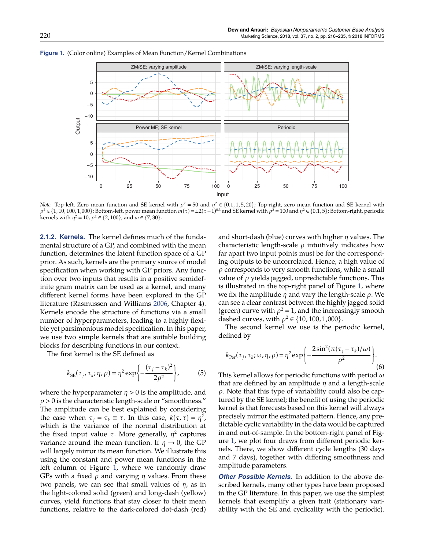<span id="page-4-1"></span>

**Figure 1.** (Color online) Examples of Mean Function/Kernel Combinations

*Note.* Top-left, Zero mean function and SE kernel with  $\rho^2 = 50$  and  $\eta^2 \in \{0.1, 1, 5, 20\}$ ; Top-right, zero mean function and SE kernel with  $\rho^2 \in \{1, 10, 100, 1, 000\}$ ; Bottom-left, power mean function  $m(\tau) = \pm 2(\tau - 1)^{0.3}$  and SE kernel with  $\rho^2 = 100$  and  $\eta^2 \in \{0.1, 5\}$ ; Bottom-right, periodic kernels with  $\eta^2 = 10$ ,  $\rho^2 \in \{2, 100\}$ , and  $\omega \in \{7, 30\}$ .

<span id="page-4-0"></span>**2.1.2. Kernels.** The kernel defines much of the fundamental structure of a GP, and combined with the mean function, determines the latent function space of a GP prior. As such, kernels are the primary source of model specification when working with GP priors. Any function over two inputs that results in a positive semidefinite gram matrix can be used as a kernel, and many different kernel forms have been explored in the GP literature (Rasmussen and Williams [2006,](#page-19-14) Chapter 4). Kernels encode the structure of functions via a small number of hyperparameters, leading to a highly flexible yet parsimonious model specification. In this paper, we use two simple kernels that are suitable building blocks for describing functions in our context.

The first kernel is the SE defined as

$$
k_{\text{SE}}(\tau_j, \tau_k; \eta, \rho) = \eta^2 \exp\left\{-\frac{(\tau_j - \tau_k)^2}{2\rho^2}\right\},\tag{5}
$$

where the hyperparameter  $\eta > 0$  is the amplitude, and  $\rho > 0$  is the characteristic length-scale or "smoothness." The amplitude can be best explained by considering the case when  $\tau_j = \tau_k \equiv \tau$ . In this case,  $k(\tau, \tau) = \eta^2$ , which is the variance of the normal distribution at the fixed input value τ. More generally,  $η<sup>2</sup>$  captures variance around the mean function. If  $\eta \rightarrow 0$ , the GP will largely mirror its mean function. We illustrate this using the constant and power mean functions in the left column of Figure [1,](#page-4-1) where we randomly draw GPs with a fixed  $\rho$  and varying  $\eta$  values. From these two panels, we can see that small values of  $\eta$ , as in the light-colored solid (green) and long-dash (yellow) curves, yield functions that stay closer to their mean functions, relative to the dark-colored dot-dash (red) and short-dash (blue) curves with higher  $\eta$  values. The characteristic length-scale  $\rho$  intuitively indicates how far apart two input points must be for the corresponding outputs to be uncorrelated. Hence, a high value of  $\rho$  corresponds to very smooth functions, while a small value of  $\rho$  yields jagged, unpredictable functions. This is illustrated in the top-right panel of Figure [1,](#page-4-1) where we fix the amplitude  $η$  and vary the length-scale  $ρ$ . We can see a clear contrast between the highly jagged solid (green) curve with  $\rho^2 = 1$ , and the increasingly smooth dashed curves, with  $\rho^2 \in \{10, 100, 1,000\}.$ 

The second kernel we use is the periodic kernel, defined by

$$
k_{\text{Per}}(\tau_j, \tau_k; \omega, \eta, \rho) = \eta^2 \exp\left\{-\frac{2\sin^2(\pi(\tau_j - \tau_k)/\omega)}{\rho^2}\right\}.
$$
\n(6)

This kernel allows for periodic functions with period  $\omega$ that are defined by an amplitude  $\eta$  and a length-scale  $\rho$ . Note that this type of variability could also be captured by the SE kernel; the benefit of using the periodic kernel is that forecasts based on this kernel will always precisely mirror the estimated pattern. Hence, any predictable cyclic variability in the data would be captured in and out-of-sample. In the bottom-right panel of Figure [1,](#page-4-1) we plot four draws from different periodic kernels. There, we show different cycle lengths (30 days and 7 days), together with differing smoothness and amplitude parameters.

*Other Possible Kernels.* In addition to the above described kernels, many other types have been proposed in the GP literature. In this paper, we use the simplest kernels that exemplify a given trait (stationary variability with the SE and cyclicality with the periodic).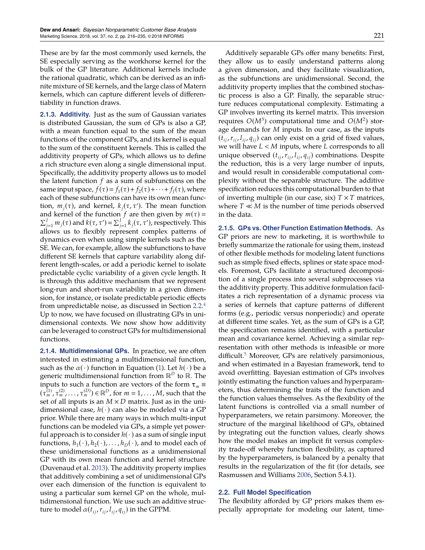These are by far the most commonly used kernels, the SE especially serving as the workhorse kernel for the bulk of the GP literature. Additional kernels include the rational quadratic, which can be derived as an infinite mixture of SE kernels, and the large class of Matern kernels, which can capture different levels of differentiability in function draws.

<span id="page-5-1"></span>**2.1.3. Additivity.** Just as the sum of Gaussian variates is distributed Gaussian, the sum of GPs is also a GP, with a mean function equal to the sum of the mean functions of the component GPs, and its kernel is equal to the sum of the constituent kernels. This is called the additivity property of GPs, which allows us to define a rich structure even along a single dimensional input. Specifically, the additivity property allows us to model the latent function *f* as a sum of subfunctions on the same input space,  $f(\tau) = f_1(\tau) + f_2(\tau) + \cdots + f_J(\tau)$ , where each of these subfunctions can have its own mean function,  $m_j(\tau)$ , and kernel,  $k_j(\tau, \tau')$ . The mean function and kernel of the function *f* are then given by  $m(\tau)$  =  $\Sigma_{j=1}^J m_j(\tau)$  and  $k(\tau, \tau') = \Sigma_{j=1}^J k_j(\tau, \tau')$ , respectively. This allows us to flexibly represent complex patterns of dynamics even when using simple kernels such as the SE. We can, for example, allow the subfunctions to have different SE kernels that capture variability along different length-scales, or add a periodic kernel to isolate predictable cyclic variability of a given cycle length. It is through this additive mechanism that we represent long-run and short-run variability in a given dimension, for instance, or isolate predictable periodic effects from unpredictable noise, as discussed in Section [2.2.](#page-5-0) [4](#page-19-17) Up to now, we have focused on illustrating GPs in unidimensional contexts. We now show how additivity can be leveraged to construct GPs for multidimensional functions.

**2.1.4. Multidimensional GPs.** In practice, we are often interested in estimating a multidimensional function, such as the  $\alpha(\cdot)$  function in Equation [\(1\)](#page-2-1). Let  $h(\cdot)$  be a generic multidimensional function from  $\mathbb{R}^D$  to  $\mathbb{R}.$  The inputs to such a function are vectors of the form  $\tau_m \equiv$  $(\tau_m^{(1)}, \tau_m^{(2)}, \dots, \tau_m^{(D)}) \in \mathbb{R}^D$ , for  $m = 1, \dots, M$ , such that the set of all inputs is an  $M \times D$  matrix. Just as in the unidimensional case,  $h(\cdot)$  can also be modeled via a GP prior. While there are many ways in which multi-input functions can be modeled via GPs, a simple yet powerful approach is to consider  $h(\cdot)$  as a sum of single input functions,  $h_1(\cdot)$ ,  $h_2(\cdot)$ , ...,  $h_D(\cdot)$ , and to model each of these unidimensional functions as a unidimensional GP with its own mean function and kernel structure (Duvenaud et al. [2013\)](#page-19-18). The additivity property implies that additively combining a set of unidimensional GPs over each dimension of the function is equivalent to using a particular sum kernel GP on the whole, multidimensional function. We use such an additive structure to model  $\alpha(t_{ij}, r_{ij}, l_{ij}, q_{ij})$  in the GPPM.

Additively separable GPs offer many benefits: First, they allow us to easily understand patterns along a given dimension, and they facilitate visualization, as the subfunctions are unidimensional. Second, the additivity property implies that the combined stochastic process is also a GP. Finally, the separable structure reduces computational complexity. Estimating a GP involves inverting its kernel matrix. This inversion requires *O*(*M*<sup>3</sup> ) computational time and *O*(*M*<sup>2</sup> ) storage demands for *M* inputs. In our case, as the inputs  $(t_{ij}, r_{ij}, l_{ij}, q_{ij})$  can only exist on a grid of fixed values, we will have *L* < *M* inputs, where *L* corresponds to all unique observed  $(t_{ij}, t_{ij}, l_{ij}, q_{ij})$  combinations. Despite the reduction, this is a very large number of inputs, and would result in considerable computational complexity without the separable structure. The additive specification reduces this computational burden to that of inverting multiple (in our case, six)  $T \times T$  matrices, where  $T \ll M$  is the number of time periods observed in the data.

<span id="page-5-3"></span><span id="page-5-2"></span>**2.1.5. GPs vs. Other Function Estimation Methods.** As GP priors are new to marketing, it is worthwhile to briefly summarize the rationale for using them, instead of other flexible methods for modeling latent functions such as simple fixed effects, splines or state space models. Foremost, GPs facilitate a structured decomposition of a single process into several subprocesses via the additivity property. This additive formulation facilitates a rich representation of a dynamic process via a series of kernels that capture patterns of different forms (e.g., periodic versus nonperiodic) and operate at different time scales. Yet, as the sum of GPs is a GP, the specification remains identified, with a particular mean and covariance kernel. Achieving a similar representation with other methods is infeasible or more difficult.[5](#page-19-19) Moreover, GPs are relatively parsimonious, and when estimated in a Bayesian framework, tend to avoid overfitting. Bayesian estimation of GPs involves jointly estimating the function values and hyperparameters, thus determining the traits of the function and the function values themselves. As the flexibility of the latent functions is controlled via a small number of hyperparameters, we retain parsimony. Moreover, the structure of the marginal likelihood of GPs, obtained by integrating out the function values, clearly shows how the model makes an implicit fit versus complexity trade-off whereby function flexibility, as captured by the hyperparameters, is balanced by a penalty that results in the regularization of the fit (for details, see Rasmussen and Williams [2006,](#page-19-14) Section 5.4.1).

## <span id="page-5-0"></span>**2.2. Full Model Specification**

The flexibility afforded by GP priors makes them especially appropriate for modeling our latent, time-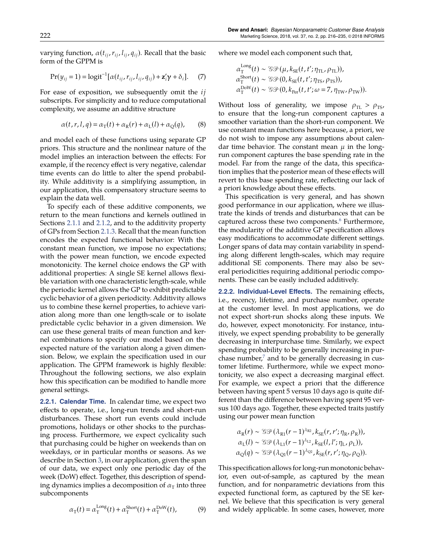varying function,  $\alpha(t_{ij}, r_{ij}, l_{ij}, q_{ij})$ . Recall that the basic form of the GPPM is

$$
Pr(y_{ij} = 1) = logit^{-1}[\alpha(t_{ij}, r_{ij}, l_{ij}, q_{ij}) + \mathbf{z}_i' \gamma + \delta_i].
$$
 (7)

For ease of exposition, we subsequently omit the *ij* subscripts. For simplicity and to reduce computational complexity, we assume an additive structure

$$
\alpha(t, r, l, q) = \alpha_{\rm T}(t) + \alpha_{\rm R}(r) + \alpha_{\rm L}(l) + \alpha_{\rm Q}(q), \qquad (8)
$$

and model each of these functions using separate GP priors. This structure and the nonlinear nature of the model implies an interaction between the effects: For example, if the recency effect is very negative, calendar time events can do little to alter the spend probability. While additivity is a simplifying assumption, in our application, this compensatory structure seems to explain the data well.

To specify each of these additive components, we return to the mean functions and kernels outlined in Sections [2.1.1](#page-3-0) and [2.1.2,](#page-4-0) and to the additivity property of GPs from Section [2.1.3.](#page-5-1) Recall that the mean function encodes the expected functional behavior: With the constant mean function, we impose no expectations; with the power mean function, we encode expected monotonicity. The kernel choice endows the GP with additional properties: A single SE kernel allows flexible variation with one characteristic length-scale, while the periodic kernel allows the GP to exhibit predictable cyclic behavior of a given periodicity. Additivity allows us to combine these kernel properties, to achieve variation along more than one length-scale or to isolate predictable cyclic behavior in a given dimension. We can use these general traits of mean function and kernel combinations to specify our model based on the expected nature of the variation along a given dimension. Below, we explain the specification used in our application. The GPPM framework is highly flexible: Throughout the following sections, we also explain how this specification can be modified to handle more general settings.

**2.2.1. Calendar Time.** In calendar time, we expect two effects to operate, i.e., long-run trends and short-run disturbances. These short run events could include promotions, holidays or other shocks to the purchasing process. Furthermore, we expect cyclicality such that purchasing could be higher on weekends than on weekdays, or in particular months or seasons. As we describe in Section [3,](#page-8-0) in our application, given the span of our data, we expect only one periodic day of the week (DoW) effect. Together, this description of spending dynamics implies a decomposition of  $\alpha_{\textrm{\tiny T}}$  into three subcomponents

$$
\alpha_{\rm T}(t) = \alpha_{\rm T}^{\rm Long}(t) + \alpha_{\rm T}^{\rm Short}(t) + \alpha_{\rm T}^{\rm Dow}(t),\tag{9}
$$

where we model each component such that,

$$
\alpha_{\rm T}^{\rm Long}(t) \sim \mathcal{GP}(\mu, k_{\rm SE}(t, t'; \eta_{\rm TL}, \rho_{\rm TL}))),
$$
  
\n
$$
\alpha_{\rm T}^{\rm Short}(t) \sim \mathcal{GP}(0, k_{\rm SE}(t, t'; \eta_{\rm TS}, \rho_{\rm TS})),
$$
  
\n
$$
\alpha_{\rm T}^{\rm DW}(t) \sim \mathcal{GP}(0, k_{\rm Per}(t, t'; \omega = 7, \eta_{\rm TW}, \rho_{\rm TW})).
$$

Without loss of generality, we impose  $\rho_{TL} > \rho_{TS}$ , to ensure that the long-run component captures a smoother variation than the short-run component. We use constant mean functions here because, a priori, we do not wish to impose any assumptions about calendar time behavior. The constant mean  $\mu$  in the longrun component captures the base spending rate in the model. Far from the range of the data, this specification implies that the posterior mean of these effects will revert to this base spending rate, reflecting our lack of a priori knowledge about these effects.

<span id="page-6-0"></span>This specification is very general, and has shown good performance in our application, where we illustrate the kinds of trends and disturbances that can be captured across these two components.<sup>[6](#page-19-20)</sup> Furthermore, the modularity of the additive GP specification allows easy modifications to accommodate different settings. Longer spans of data may contain variability in spending along different length-scales, which may require additional SE components. There may also be several periodicities requiring additional periodic components. These can be easily included additively.

<span id="page-6-1"></span>**2.2.2. Individual-Level Effects.** The remaining effects, i.e., recency, lifetime, and purchase number, operate at the customer level. In most applications, we do not expect short-run shocks along these inputs. We do, however, expect monotonicity. For instance, intuitively, we expect spending probability to be generally decreasing in interpurchase time. Similarly, we expect spending probability to be generally increasing in purchase number, $7$  and to be generally decreasing in customer lifetime. Furthermore, while we expect monotonicity, we also expect a decreasing marginal effect. For example, we expect a priori that the difference between having spent 5 versus 10 days ago is quite different than the difference between having spent 95 versus 100 days ago. Together, these expected traits justify using our power mean function

$$
\begin{aligned} \alpha_\text{R}(r) &\sim \mathcal{GP}\left(\lambda_\text{R1}(r-1)^{\lambda_\text{R2}}, k_\text{SE}(r, r'; \eta_\text{R}, \rho_\text{R})\right), \\ \alpha_\text{L}(l) &\sim \mathcal{GP}\left(\lambda_\text{L1}(r-1)^{\lambda_\text{L2}}, k_\text{SE}(l, l'; \eta_\text{L}, \rho_\text{L})\right), \\ \alpha_\text{Q}(q) &\sim \mathcal{GP}\left(\lambda_\text{Q1}(r-1)^{\lambda_\text{Q2}}, k_\text{SE}(r, r'; \eta_\text{Q}, \rho_\text{Q})\right). \end{aligned}
$$

This specification allows for long-run monotonic behavior, even out-of-sample, as captured by the mean function, and for nonparametric deviations from this expected functional form, as captured by the SE kernel. We believe that this specification is very general and widely applicable. In some cases, however, more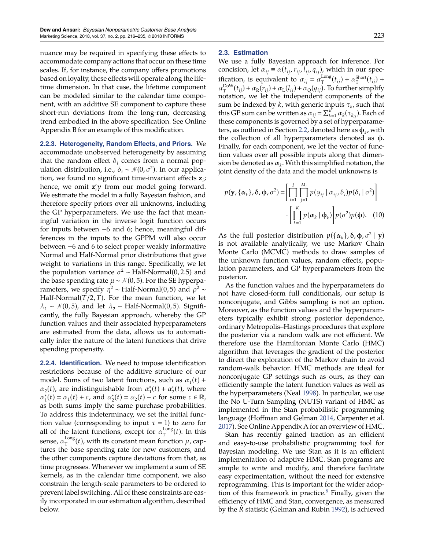nuance may be required in specifying these effects to accommodate company actions that occur on these time scales. If, for instance, the company offers promotions based on loyalty, these effects will operate along the lifetime dimension. In that case, the lifetime component can be modeled similar to the calendar time component, with an additive SE component to capture these short-run deviations from the long-run, decreasing trend embodied in the above specification. See Online Appendix B for an example of this modification.

**2.2.3. Heterogeneity, Random Effects, and Priors.** We accommodate unobserved heterogeneity by assuming that the random effect  $\delta_i$  comes from a normal population distribution, i.e.,  $\delta_i \sim \mathcal{N}(0, \sigma^2)$ . In our application, we found no significant time-invariant effects **z***<sup>i</sup>* ; hence, we omit  $\mathbf{z}'_i$ *i* γ from our model going forward. We estimate the model in a fully Bayesian fashion, and therefore specify priors over all unknowns, including the GP hyperparameters. We use the fact that meaningful variation in the inverse logit function occurs for inputs between −6 and 6; hence, meaningful differences in the inputs to the GPPM will also occur between −6 and 6 to select proper weakly informative Normal and Half-Normal prior distributions that give weight to variations in this range. Specifically, we let the population variance  $\sigma^2 \sim \text{Half-Normal}(0, 2.5)$  and the base spending rate  $μ \sim \mathcal{N}(0, 5)$ . For the SE hyperparameters, we specify  $\eta^2 \sim \text{Half-Normal}(0, 5)$  and  $\rho^2 \sim$ Half-Normal $(T/2, T)$ . For the mean function, we let  $\lambda_1 \sim \mathcal{N}(0, 5)$ , and let  $\lambda_2 \sim \text{Half-Normal}(0, 5)$ . Significantly, the fully Bayesian approach, whereby the GP function values and their associated hyperparameters are estimated from the data, allows us to automatically infer the nature of the latent functions that drive spending propensity.

<span id="page-7-1"></span>**2.2.4. Identification.** We need to impose identification restrictions because of the additive structure of our model. Sums of two latent functions, such as  $\alpha_1(t)$  +  $\alpha_2(t)$ , are indistinguishable from  $\alpha_1^*$  $\alpha_1^*(t) + \alpha_2^*$  $t_2^*(t)$ , where  $\alpha_1^*$  $\alpha_1^*(t) = \alpha_1(t) + c$ , and  $\alpha_2^*$  $\alpha_2(t) = \alpha_2(t) - c$  for some  $c \in \mathbb{R}$ , as both sums imply the same purchase probabilities. To address this indeterminacy, we set the initial function value (corresponding to input  $\tau = 1$ ) to zero for all of the latent functions, except for  $\alpha_{\rm T}^{\rm Long}$  $_{\text{T}}^{\text{Long}}(t)$ . In this sense,  $\alpha_{\textrm{\tiny T}}^{\textrm{Long}}$  $T_{\text{T}}^{\text{Long}}(t)$ , with its constant mean function  $\mu$ , captures the base spending rate for new customers, and the other components capture deviations from that, as time progresses. Whenever we implement a sum of SE kernels, as in the calendar time component, we also constrain the length-scale parameters to be ordered to prevent label switching. All of these constraints are easily incorporated in our estimation algorithm, described below.

## <span id="page-7-0"></span>**2.3. Estimation**

We use a fully Bayesian approach for inference. For concision, let  $\alpha_{ij} \equiv \alpha(t_{ij}, r_{ij}, l_{ij}, q_{ij})$ , which in our specification, is equivalent to  $\alpha_{ij} = \alpha_{\text{T}}^{\text{Long}}$  $\frac{\text{Long}}{\text{T}}(t_{ij}) + \alpha_{\text{T}}^{\text{Short}}(t_{ij}) +$  $\alpha_{\rm T}^{\rm Dow}(t_{ij}) + \alpha_{\rm R}(r_{ij}) + \alpha_{\rm L}(l_{ij}) + \alpha_{\rm Q}(q_{ij})$ . To further simplify notation, we let the independent components of the  $\mathop{\mathsf{sum}}$  be indexed by  $k$ , with generic inputs  $\tau_{k}$ , such that this GP sum can be written as  $\alpha_{ij} = \sum_{k=1}^{K} \alpha_k(\tau_{k_{ij}})$ . Each of these components is governed by a set of hyperparame-ters, as outlined in Section [2.2,](#page-5-0) denoted here as  $\phi_{k'}$  with the collection of all hyperparameters denoted as φ. Finally, for each component, we let the vector of function values over all possible inputs along that dimension be denoted as  $\pmb{\alpha}_k.$  With this simplified notation, the joint density of the data and the model unknowns is

$$
p(\mathbf{y}, {\alpha_k}, \delta, \boldsymbol{\phi}, \sigma^2) = \left[ \prod_{i=1}^{I} \prod_{j=1}^{M_i} p(y_{ij} | \alpha_{ij}, \delta_i) p(\delta_i | \sigma^2) \right] \cdot \left[ \prod_{k=1}^{K} p(\alpha_k | \boldsymbol{\phi}_k) \right] p(\sigma^2) p(\boldsymbol{\phi}). \quad (10)
$$

As the full posterior distribution  $p(\{\boldsymbol{\alpha}_k\}, \boldsymbol{\delta}, \boldsymbol{\phi}, \sigma^2 | \mathbf{y})$ is not available analytically, we use Markov Chain Monte Carlo (MCMC) methods to draw samples of the unknown function values, random effects, population parameters, and GP hyperparameters from the posterior.

As the function values and the hyperparameters do not have closed-form full conditionals, our setup is nonconjugate, and Gibbs sampling is not an option. Moreover, as the function values and the hyperparameters typically exhibit strong posterior dependence, ordinary Metropolis–Hastings procedures that explore the posterior via a random walk are not efficient. We therefore use the Hamiltonian Monte Carlo (HMC) algorithm that leverages the gradient of the posterior to direct the exploration of the Markov chain to avoid random-walk behavior. HMC methods are ideal for nonconjugate GP settings such as ours, as they can efficiently sample the latent function values as well as the hyperparameters (Neal [1998\)](#page-19-22). In particular, we use the No U-Turn Sampling (NUTS) variant of HMC as implemented in the Stan probabilistic programming language (Hoffman and Gelman [2014,](#page-19-23) Carpenter et al. [2017\)](#page-19-24). See Online Appendix A for an overview of HMC.

<span id="page-7-2"></span>Stan has recently gained traction as an efficient and easy-to-use probabilistic programming tool for Bayesian modeling. We use Stan as it is an efficient implementation of adaptive HMC. Stan programs are simple to write and modify, and therefore facilitate easy experimentation, without the need for extensive reprogramming. This is important for the wider adoption of this framework in practice. $8$  Finally, given the efficiency of HMC and Stan, convergence, as measured by the *<sup>R</sup>*<sup>ˆ</sup> statistic (Gelman and Rubin [1992\)](#page-19-26), is achieved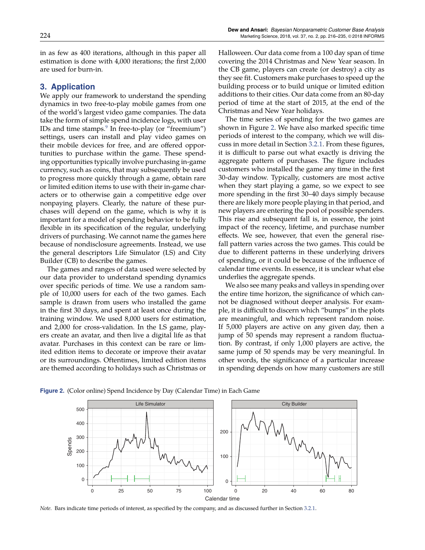in as few as 400 iterations, although in this paper all estimation is done with 4,000 iterations; the first 2,000 are used for burn-in.

# <span id="page-8-0"></span>**3. Application**

<span id="page-8-2"></span>We apply our framework to understand the spending dynamics in two free-to-play mobile games from one of the world's largest video game companies. The data take the form of simple spend incidence logs, with user IDs and time stamps.<sup>[9](#page-19-27)</sup> In free-to-play (or "freemium") settings, users can install and play video games on their mobile devices for free, and are offered opportunities to purchase within the game. These spending opportunities typically involve purchasing in-game currency, such as coins, that may subsequently be used to progress more quickly through a game, obtain rare or limited edition items to use with their in-game characters or to otherwise gain a competitive edge over nonpaying players. Clearly, the nature of these purchases will depend on the game, which is why it is important for a model of spending behavior to be fully flexible in its specification of the regular, underlying drivers of purchasing. We cannot name the games here because of nondisclosure agreements. Instead, we use the general descriptors Life Simulator (LS) and City Builder (CB) to describe the games.

The games and ranges of data used were selected by our data provider to understand spending dynamics over specific periods of time. We use a random sample of 10,000 users for each of the two games. Each sample is drawn from users who installed the game in the first 30 days, and spent at least once during the training window. We used 8,000 users for estimation, and 2,000 for cross-validation. In the LS game, players create an avatar, and then live a digital life as that avatar. Purchases in this context can be rare or limited edition items to decorate or improve their avatar or its surroundings. Oftentimes, limited edition items are themed according to holidays such as Christmas or

Halloween. Our data come from a 100 day span of time covering the 2014 Christmas and New Year season. In the CB game, players can create (or destroy) a city as they see fit. Customers make purchases to speed up the building process or to build unique or limited edition additions to their cities. Our data come from an 80-day period of time at the start of 2015, at the end of the Christmas and New Year holidays.

The time series of spending for the two games are shown in Figure [2.](#page-8-1) We have also marked specific time periods of interest to the company, which we will discuss in more detail in Section [3.2.1.](#page-11-1) From these figures, it is difficult to parse out what exactly is driving the aggregate pattern of purchases. The figure includes customers who installed the game any time in the first 30-day window. Typically, customers are most active when they start playing a game, so we expect to see more spending in the first 30–40 days simply because there are likely more people playing in that period, and new players are entering the pool of possible spenders. This rise and subsequent fall is, in essence, the joint impact of the recency, lifetime, and purchase number effects. We see, however, that even the general risefall pattern varies across the two games. This could be due to different patterns in these underlying drivers of spending, or it could be because of the influence of calendar time events. In essence, it is unclear what else underlies the aggregate spends.

We also see many peaks and valleys in spending over the entire time horizon, the significance of which cannot be diagnosed without deeper analysis. For example, it is difficult to discern which "bumps" in the plots are meaningful, and which represent random noise. If 5,000 players are active on any given day, then a jump of 50 spends may represent a random fluctuation. By contrast, if only 1,000 players are active, the same jump of 50 spends may be very meaningful. In other words, the significance of a particular increase in spending depends on how many customers are still



<span id="page-8-1"></span>

*Note.* Bars indicate time periods of interest, as specified by the company, and as discussed further in Section [3.2.1.](#page-11-1)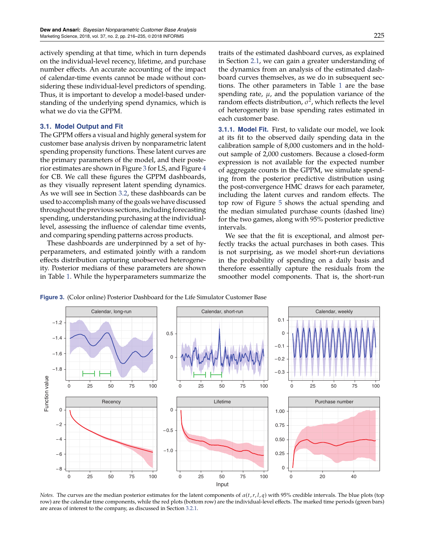actively spending at that time, which in turn depends on the individual-level recency, lifetime, and purchase number effects. An accurate accounting of the impact of calendar-time events cannot be made without considering these individual-level predictors of spending. Thus, it is important to develop a model-based understanding of the underlying spend dynamics, which is what we do via the GPPM.

## <span id="page-9-0"></span>**3.1. Model Output and Fit**

The GPPM offers a visual and highly general system for customer base analysis driven by nonparametric latent spending propensity functions. These latent curves are the primary parameters of the model, and their posterior estimates are shown in Figure [3](#page-9-1) for LS, and Figure [4](#page-10-0) for CB. We call these figures the GPPM dashboards, as they visually represent latent spending dynamics. As we will see in Section [3.2,](#page-11-0) these dashboards can be used to accomplish many of the goals we have discussed throughout the previous sections, including forecasting spending, understanding purchasing at the individuallevel, assessing the influence of calendar time events, and comparing spending patterns across products.

These dashboards are underpinned by a set of hyperparameters, and estimated jointly with a random effects distribution capturing unobserved heterogeneity. Posterior medians of these parameters are shown in Table [1.](#page-10-1) While the hyperparameters summarize the traits of the estimated dashboard curves, as explained in Section [2.1,](#page-2-0) we can gain a greater understanding of the dynamics from an analysis of the estimated dashboard curves themselves, as we do in subsequent sections. The other parameters in Table [1](#page-10-1) are the base spending rate,  $\mu$ , and the population variance of the random effects distribution,  $\sigma^2$ , which reflects the level of heterogeneity in base spending rates estimated in each customer base.

**3.1.1. Model Fit.** First, to validate our model, we look at its fit to the observed daily spending data in the calibration sample of 8,000 customers and in the holdout sample of 2,000 customers. Because a closed-form expression is not available for the expected number of aggregate counts in the GPPM, we simulate spending from the posterior predictive distribution using the post-convergence HMC draws for each parameter, including the latent curves and random effects. The top row of Figure [5](#page-11-2) shows the actual spending and the median simulated purchase counts (dashed line) for the two games, along with 95% posterior predictive intervals.

We see that the fit is exceptional, and almost perfectly tracks the actual purchases in both cases. This is not surprising, as we model short-run deviations in the probability of spending on a daily basis and therefore essentially capture the residuals from the smoother model components. That is, the short-run

<span id="page-9-1"></span>

**Figure 3.** (Color online) Posterior Dashboard for the Life Simulator Customer Base

*Notes.* The curves are the median posterior estimates for the latent components of  $\alpha(t, r, l, q)$  with 95% credible intervals. The blue plots (top row) are the calendar time components, while the red plots (bottom row) are the individual-level effects. The marked time periods (green bars) are areas of interest to the company, as discussed in Section [3.2.1.](#page-11-1)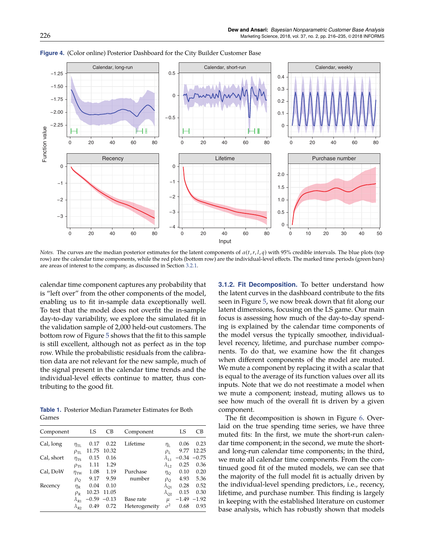

#### <span id="page-10-0"></span>**Figure 4.** (Color online) Posterior Dashboard for the City Builder Customer Base

*Notes.* The curves are the median posterior estimates for the latent components of  $\alpha(t, r, l, q)$  with 95% credible intervals. The blue plots (top row) are the calendar time components, while the red plots (bottom row) are the individual-level effects. The marked time periods (green bars) are areas of interest to the company, as discussed in Section [3.2.1.](#page-11-1)

calendar time component captures any probability that is "left over" from the other components of the model, enabling us to fit in-sample data exceptionally well. To test that the model does not overfit the in-sample day-to-day variability, we explore the simulated fit in the validation sample of 2,000 held-out customers. The bottom row of Figure [5](#page-11-2) shows that the fit to this sample is still excellent, although not as perfect as in the top row. While the probabilistic residuals from the calibration data are not relevant for the new sample, much of the signal present in the calendar time trends and the individual-level effects continue to matter, thus contributing to the good fit.

<span id="page-10-1"></span>**Table 1.** Posterior Median Parameter Estimates for Both Games

| Component  |                    | LS      | СB      | Component     |                       | LS      | СB      |
|------------|--------------------|---------|---------|---------------|-----------------------|---------|---------|
| Cal, long  | $\eta_{\text{TL}}$ | 0.17    | 0.22    | Lifetime      | $\eta_{\rm L}$        | 0.06    | 0.23    |
|            | $\rho_{\text{TI}}$ | 11.75   | 10.32   |               | $\rho_{\rm L}$        | 9.77    | 12.25   |
| Cal, short | $\eta_{\rm TS}$    | 0.15    | 0.16    |               | $\lambda_{1.1}$       | $-0.34$ | $-0.75$ |
|            | $\rho_{TS}$        | 1.11    | 1.29    |               | $\lambda_{12}$        | 0.25    | 0.36    |
| Cal, DoW   | $\eta_{\rm TW}$    | 1.08    | 1.19    | Purchase      | $\eta_{\rm O}$        | 0.10    | 0.20    |
|            | $\rho_{\rm O}$     | 9.17    | 9.59    | number        | $\rho_{\rm O}$        | 4.93    | 5.36    |
| Recency    | $\eta_{\rm R}$     | 0.04    | 0.10    |               | $\lambda_{\text{Q1}}$ | 0.28    | 0.52    |
|            | $\rho_R$           | 10.23   | 11.05   |               | $\lambda_{\rm Q2}$    | 0.15    | 0.30    |
|            | $\lambda_{R1}$     | $-0.59$ | $-0.13$ | Base rate     | $\mu$                 | $-1.49$ | $-1.92$ |
|            | $\lambda_{R2}$     | 0.49    | 0.72    | Heterogeneity | $\sigma^2$            | 0.68    | 0.93    |

**3.1.2. Fit Decomposition.** To better understand how the latent curves in the dashboard contribute to the fits seen in Figure [5,](#page-11-2) we now break down that fit along our latent dimensions, focusing on the LS game. Our main focus is assessing how much of the day-to-day spending is explained by the calendar time components of the model versus the typically smoother, individuallevel recency, lifetime, and purchase number components. To do that, we examine how the fit changes when different components of the model are muted. We mute a component by replacing it with a scalar that is equal to the average of its function values over all its inputs. Note that we do not reestimate a model when we mute a component; instead, muting allows us to see how much of the overall fit is driven by a given component.

The fit decomposition is shown in Figure [6.](#page-11-3) Overlaid on the true spending time series, we have three muted fits: In the first, we mute the short-run calendar time component; in the second, we mute the shortand long-run calendar time components; in the third, we mute all calendar time components. From the continued good fit of the muted models, we can see that the majority of the full model fit is actually driven by the individual-level spending predictors, i.e., recency, lifetime, and purchase number. This finding is largely in keeping with the established literature on customer base analysis, which has robustly shown that models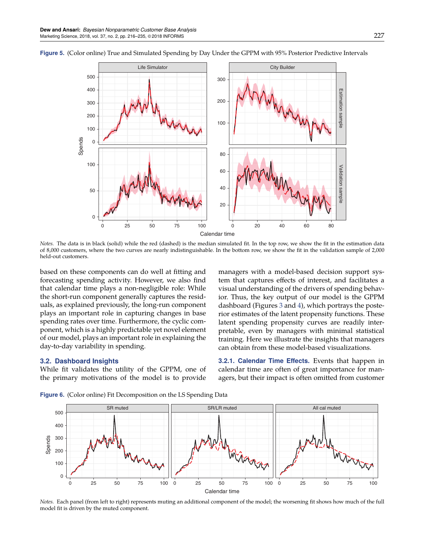<span id="page-11-2"></span>

**Figure 5.** (Color online) True and Simulated Spending by Day Under the GPPM with 95% Posterior Predictive Intervals

*Notes.* The data is in black (solid) while the red (dashed) is the median simulated fit. In the top row, we show the fit in the estimation data of 8,000 customers, where the two curves are nearly indistinguishable. In the bottom row, we show the fit in the validation sample of 2,000 held-out customers.

based on these components can do well at fitting and forecasting spending activity. However, we also find that calendar time plays a non-negligible role: While the short-run component generally captures the residuals, as explained previously, the long-run component plays an important role in capturing changes in base spending rates over time. Furthermore, the cyclic component, which is a highly predictable yet novel element of our model, plays an important role in explaining the day-to-day variability in spending.

### <span id="page-11-0"></span>**3.2. Dashboard Insights**

While fit validates the utility of the GPPM, one of the primary motivations of the model is to provide managers with a model-based decision support system that captures effects of interest, and facilitates a visual understanding of the drivers of spending behavior. Thus, the key output of our model is the GPPM dashboard (Figures [3](#page-9-1) and [4\)](#page-10-0), which portrays the posterior estimates of the latent propensity functions. These latent spending propensity curves are readily interpretable, even by managers with minimal statistical training. Here we illustrate the insights that managers can obtain from these model-based visualizations.

<span id="page-11-1"></span>**3.2.1. Calendar Time Effects.** Events that happen in calendar time are often of great importance for managers, but their impact is often omitted from customer

<span id="page-11-3"></span>**Figure 6.** (Color online) Fit Decomposition on the LS Spending Data



*Notes.* Each panel (from left to right) represents muting an additional component of the model; the worsening fit shows how much of the full model fit is driven by the muted component.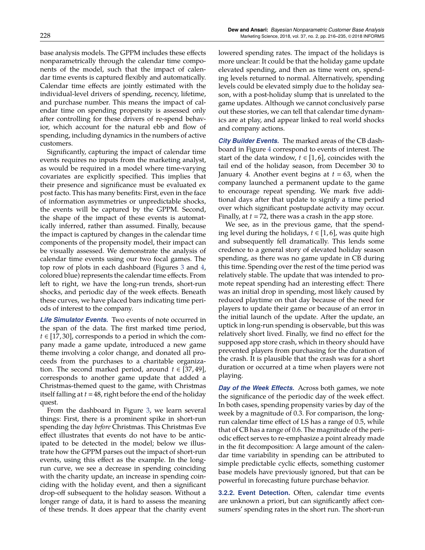base analysis models. The GPPM includes these effects nonparametrically through the calendar time components of the model, such that the impact of calendar time events is captured flexibly and automatically. Calendar time effects are jointly estimated with the individual-level drivers of spending, recency, lifetime, and purchase number. This means the impact of calendar time on spending propensity is assessed only after controlling for these drivers of re-spend behavior, which account for the natural ebb and flow of spending, including dynamics in the numbers of active customers.

Significantly, capturing the impact of calendar time events requires no inputs from the marketing analyst, as would be required in a model where time-varying covariates are explicitly specified. This implies that their presence and significance must be evaluated ex post facto. This has many benefits: First, even in the face of information asymmetries or unpredictable shocks, the events will be captured by the GPPM. Second, the shape of the impact of these events is automatically inferred, rather than assumed. Finally, because the impact is captured by changes in the calendar time components of the propensity model, their impact can be visually assessed. We demonstrate the analysis of calendar time events using our two focal games. The top row of plots in each dashboard (Figures [3](#page-9-1) and [4,](#page-10-0) colored blue) represents the calendar time effects. From left to right, we have the long-run trends, short-run shocks, and periodic day of the week effects. Beneath these curves, we have placed bars indicating time periods of interest to the company.

*Life Simulator Events.* Two events of note occurred in the span of the data. The first marked time period, *t* ∈ [17, 30], corresponds to a period in which the company made a game update, introduced a new game theme involving a color change, and donated all proceeds from the purchases to a charitable organization. The second marked period, around  $t \in [37, 49]$ , corresponds to another game update that added a Christmas-themed quest to the game, with Christmas itself falling at  $t = 48$ , right before the end of the holiday quest.

From the dashboard in Figure [3,](#page-9-1) we learn several things: First, there is a prominent spike in short-run spending the day *before* Christmas. This Christmas Eve effect illustrates that events do not have to be anticipated to be detected in the model; below we illustrate how the GPPM parses out the impact of short-run events, using this effect as the example. In the longrun curve, we see a decrease in spending coinciding with the charity update, an increase in spending coinciding with the holiday event, and then a significant drop-off subsequent to the holiday season. Without a longer range of data, it is hard to assess the meaning of these trends. It does appear that the charity event lowered spending rates. The impact of the holidays is more unclear: It could be that the holiday game update elevated spending, and then as time went on, spending levels returned to normal. Alternatively, spending levels could be elevated simply due to the holiday season, with a post-holiday slump that is unrelated to the game updates. Although we cannot conclusively parse out these stories, we can tell that calendar time dynamics are at play, and appear linked to real world shocks and company actions.

*City Builder Events.* The marked areas of the CB dashboard in Figure [4](#page-10-0) correspond to events of interest. The start of the data window,  $t \in [1, 6]$ , coincides with the tail end of the holiday season, from December 30 to January 4. Another event begins at  $t = 63$ , when the company launched a permanent update to the game to encourage repeat spending. We mark five additional days after that update to signify a time period over which significant postupdate activity may occur. Finally, at  $t = 72$ , there was a crash in the app store.

We see, as in the previous game, that the spending level during the holidays,  $t \in [1, 6]$ , was quite high and subsequently fell dramatically. This lends some credence to a general story of elevated holiday season spending, as there was no game update in CB during this time. Spending over the rest of the time period was relatively stable. The update that was intended to promote repeat spending had an interesting effect: There was an initial drop in spending, most likely caused by reduced playtime on that day because of the need for players to update their game or because of an error in the initial launch of the update. After the update, an uptick in long-run spending is observable, but this was relatively short lived. Finally, we find no effect for the supposed app store crash, which in theory should have prevented players from purchasing for the duration of the crash. It is plausible that the crash was for a short duration or occurred at a time when players were not playing.

*Day of the Week Effects.* Across both games, we note the significance of the periodic day of the week effect. In both cases, spending propensity varies by day of the week by a magnitude of 0.3. For comparison, the longrun calendar time effect of LS has a range of 0.5, while that of CB has a range of 0.6. The magnitude of the periodic effect serves to re-emphasize a point already made in the fit decomposition: A large amount of the calendar time variability in spending can be attributed to simple predictable cyclic effects, something customer base models have previously ignored, but that can be powerful in forecasting future purchase behavior.

**3.2.2. Event Detection.** Often, calendar time events are unknown a priori, but can significantly affect consumers' spending rates in the short run. The short-run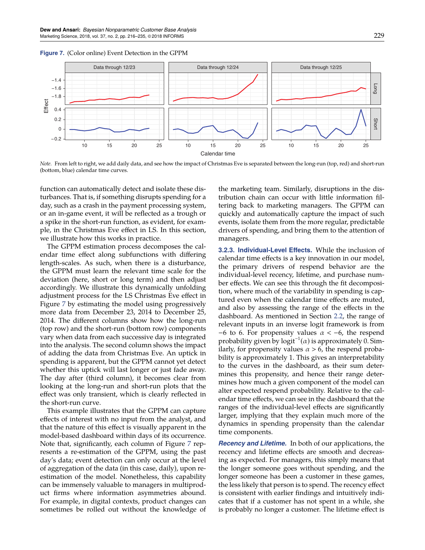

<span id="page-13-0"></span>

*Note.* From left to right, we add daily data, and see how the impact of Christmas Eve is separated between the long-run (top, red) and short-run (bottom, blue) calendar time curves.

function can automatically detect and isolate these disturbances. That is, if something disrupts spending for a day, such as a crash in the payment processing system, or an in-game event, it will be reflected as a trough or a spike in the short-run function, as evident, for example, in the Christmas Eve effect in LS. In this section, we illustrate how this works in practice.

The GPPM estimation process decomposes the calendar time effect along subfunctions with differing length-scales. As such, when there is a disturbance, the GPPM must learn the relevant time scale for the deviation (here, short or long term) and then adjust accordingly. We illustrate this dynamically unfolding adjustment process for the LS Christmas Eve effect in Figure [7](#page-13-0) by estimating the model using progressively more data from December 23, 2014 to December 25, 2014. The different columns show how the long-run (top row) and the short-run (bottom row) components vary when data from each successive day is integrated into the analysis. The second column shows the impact of adding the data from Christmas Eve. An uptick in spending is apparent, but the GPPM cannot yet detect whether this uptick will last longer or just fade away. The day after (third column), it becomes clear from looking at the long-run and short-run plots that the effect was only transient, which is clearly reflected in the short-run curve.

This example illustrates that the GPPM can capture effects of interest with no input from the analyst, and that the nature of this effect is visually apparent in the model-based dashboard within days of its occurrence. Note that, significantly, each column of Figure [7](#page-13-0) represents a re-estimation of the GPPM, using the past day's data; event detection can only occur at the level of aggregation of the data (in this case, daily), upon reestimation of the model. Nonetheless, this capability can be immensely valuable to managers in multiproduct firms where information asymmetries abound. For example, in digital contexts, product changes can sometimes be rolled out without the knowledge of the marketing team. Similarly, disruptions in the distribution chain can occur with little information filtering back to marketing managers. The GPPM can quickly and automatically capture the impact of such events, isolate them from the more regular, predictable drivers of spending, and bring them to the attention of managers.

**3.2.3. Individual-Level Effects.** While the inclusion of calendar time effects is a key innovation in our model, the primary drivers of respend behavior are the individual-level recency, lifetime, and purchase number effects. We can see this through the fit decomposition, where much of the variability in spending is captured even when the calendar time effects are muted, and also by assessing the range of the effects in the dashboard. As mentioned in Section [2.2,](#page-5-0) the range of relevant inputs in an inverse logit framework is from −6 to 6. For propensity values  $\alpha$  < −6, the respend probability given by logit<sup>-1</sup>( $\alpha$ ) is approximately 0. Similarly, for propensity values  $\alpha > 6$ , the respend probability is approximately 1. This gives an interpretability to the curves in the dashboard, as their sum determines this propensity, and hence their range determines how much a given component of the model can alter expected respend probability. Relative to the calendar time effects, we can see in the dashboard that the ranges of the individual-level effects are significantly larger, implying that they explain much more of the dynamics in spending propensity than the calendar time components.

*Recency and Lifetime.* In both of our applications, the recency and lifetime effects are smooth and decreasing as expected. For managers, this simply means that the longer someone goes without spending, and the longer someone has been a customer in these games, the less likely that person is to spend. The recency effect is consistent with earlier findings and intuitively indicates that if a customer has not spent in a while, she is probably no longer a customer. The lifetime effect is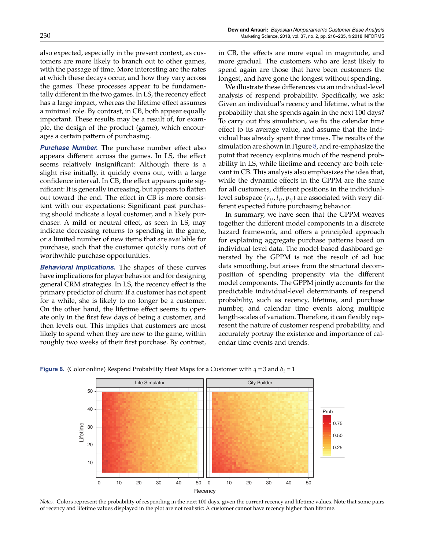also expected, especially in the present context, as customers are more likely to branch out to other games, with the passage of time. More interesting are the rates at which these decays occur, and how they vary across the games. These processes appear to be fundamentally different in the two games. In LS, the recency effect has a large impact, whereas the lifetime effect assumes a minimal role. By contrast, in CB, both appear equally important. These results may be a result of, for example, the design of the product (game), which encourages a certain pattern of purchasing.

**Purchase Number.** The purchase number effect also appears different across the games. In LS, the effect seems relatively insignificant: Although there is a slight rise initially, it quickly evens out, with a large confidence interval. In CB, the effect appears quite significant: It is generally increasing, but appears to flatten out toward the end. The effect in CB is more consistent with our expectations: Significant past purchasing should indicate a loyal customer, and a likely purchaser. A mild or neutral effect, as seen in LS, may indicate decreasing returns to spending in the game, or a limited number of new items that are available for purchase, such that the customer quickly runs out of worthwhile purchase opportunities.

*Behavioral Implications.* The shapes of these curves have implications for player behavior and for designing general CRM strategies. In LS, the recency effect is the primary predictor of churn: If a customer has not spent for a while, she is likely to no longer be a customer. On the other hand, the lifetime effect seems to operate only in the first few days of being a customer, and then levels out. This implies that customers are most likely to spend when they are new to the game, within roughly two weeks of their first purchase. By contrast, in CB, the effects are more equal in magnitude, and more gradual. The customers who are least likely to spend again are those that have been customers the longest, and have gone the longest without spending.

We illustrate these differences via an individual-level analysis of respend probability. Specifically, we ask: Given an individual's recency and lifetime, what is the probability that she spends again in the next 100 days? To carry out this simulation, we fix the calendar time effect to its average value, and assume that the individual has already spent three times. The results of the simulation are shown in Figure [8,](#page-14-0) and re-emphasize the point that recency explains much of the respend probability in LS, while lifetime and recency are both relevant in CB. This analysis also emphasizes the idea that, while the dynamic effects in the GPPM are the same for all customers, different positions in the individuallevel subspace  $(r_{ij}, l_{ij}, p_{ij})$  are associated with very different expected future purchasing behavior.

In summary, we have seen that the GPPM weaves together the different model components in a discrete hazard framework, and offers a principled approach for explaining aggregate purchase patterns based on individual-level data. The model-based dashboard generated by the GPPM is not the result of ad hoc data smoothing, but arises from the structural decomposition of spending propensity via the different model components. The GPPM jointly accounts for the predictable individual-level determinants of respend probability, such as recency, lifetime, and purchase number, and calendar time events along multiple length-scales of variation. Therefore, it can flexibly represent the nature of customer respend probability, and accurately portray the existence and importance of calendar time events and trends.

**Figure 8.** (Color online) Respend Probability Heat Maps for a Customer with  $q = 3$  and  $\delta_i = 1$ 

<span id="page-14-0"></span>

*Notes.* Colors represent the probability of respending in the next 100 days, given the current recency and lifetime values. Note that some pairs of recency and lifetime values displayed in the plot are not realistic: A customer cannot have recency higher than lifetime.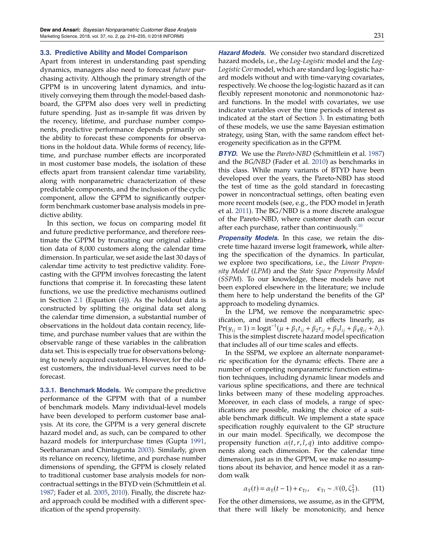## <span id="page-15-0"></span>**3.3. Predictive Ability and Model Comparison**

Apart from interest in understanding past spending dynamics, managers also need to forecast *future* purchasing activity. Although the primary strength of the GPPM is in uncovering latent dynamics, and intuitively conveying them through the model-based dashboard, the GPPM also does very well in predicting future spending. Just as in-sample fit was driven by the recency, lifetime, and purchase number components, predictive performance depends primarily on the ability to forecast these components for observations in the holdout data. While forms of recency, lifetime, and purchase number effects are incorporated in most customer base models, the isolation of these effects apart from transient calendar time variability, along with nonparametric characterization of these predictable components, and the inclusion of the cyclic component, allow the GPPM to significantly outperform benchmark customer base analysis models in predictive ability.

In this section, we focus on comparing model fit and future predictive performance, and therefore reestimate the GPPM by truncating our original calibration data of 8,000 customers along the calendar time dimension. In particular, we set aside the last 30 days of calendar time activity to test predictive validity. Forecasting with the GPPM involves forecasting the latent functions that comprise it. In forecasting these latent functions, we use the predictive mechanisms outlined in Section [2.1](#page-2-0) (Equation [\(4\)](#page-3-1)). As the holdout data is constructed by splitting the original data set along the calendar time dimension, a substantial number of observations in the holdout data contain recency, lifetime, and purchase number values that are within the observable range of these variables in the calibration data set. This is especially true for observations belonging to newly acquired customers. However, for the oldest customers, the individual-level curves need to be forecast.

**3.3.1. Benchmark Models.** We compare the predictive performance of the GPPM with that of a number of benchmark models. Many individual-level models have been developed to perform customer base analysis. At its core, the GPPM is a very general discrete hazard model and, as such, can be compared to other hazard models for interpurchase times (Gupta [1991,](#page-19-12) Seetharaman and Chintagunta [2003\)](#page-19-13). Similarly, given its reliance on recency, lifetime, and purchase number dimensions of spending, the GPPM is closely related to traditional customer base analysis models for noncontractual settings in the BTYD vein (Schmittlein et al. [1987;](#page-19-2) Fader et al. [2005,](#page-19-0) [2010\)](#page-19-1). Finally, the discrete hazard approach could be modified with a different specification of the spend propensity.

*Hazard Models.* We consider two standard discretized hazard models, i.e., the *Log-Logistic* model and the *Log-Logistic Cov* model, which are standard log-logistic hazard models without and with time-varying covariates, respectively. We choose the log-logistic hazard as it can flexibly represent monotonic and nonmonotonic hazard functions. In the model with covariates, we use indicator variables over the time periods of interest as indicated at the start of Section [3.](#page-8-0) In estimating both of these models, we use the same Bayesian estimation strategy, using Stan, with the same random effect heterogeneity specification as in the GPPM.

*BTYD.* We use the *Pareto-NBD* (Schmittlein et al. [1987\)](#page-19-2) and the *BG/NBD* (Fader et al. [2010\)](#page-19-1) as benchmarks in this class. While many variants of BTYD have been developed over the years, the Pareto-NBD has stood the test of time as the gold standard in forecasting power in noncontractual settings, often beating even more recent models (see, e.g., the PDO model in Jerath et al. [2011\)](#page-19-28). The BG/NBD is a more discrete analogue of the Pareto-NBD, where customer death can occur after each purchase, rather than continuously.<sup>[10](#page-19-29)</sup>

<span id="page-15-1"></span>*Propensity Models.* In this case, we retain the discrete time hazard inverse logit framework, while altering the specification of the dynamics. In particular, we explore two specifications, i.e., the *Linear Propensity Model* (*LPM*) and the *State Space Propensity Model* (*SSPM*). To our knowledge, these models have not been explored elsewhere in the literature; we include them here to help understand the benefits of the GP approach to modeling dynamics.

In the LPM, we remove the nonparametric specification, and instead model all effects linearly, as  $Pr(y_{ij} = 1) = logit^{-1}(\mu + \beta_1 t_{ij} + \beta_2 r_{ij} + \beta_3 l_{ij} + \beta_4 q_{ij} + \delta_i).$ This is the simplest discrete hazard model specification that includes all of our time scales and effects.

In the SSPM, we explore an alternate nonparametric specification for the dynamic effects. There are a number of competing nonparametric function estimation techniques, including dynamic linear models and various spline specifications, and there are technical links between many of these modeling approaches. Moreover, in each class of models, a range of specifications are possible, making the choice of a suitable benchmark difficult. We implement a state space specification roughly equivalent to the GP structure in our main model. Specifically, we decompose the propensity function  $\alpha(t, r, l, q)$  into additive components along each dimension. For the calendar time dimension, just as in the GPPM, we make no assumptions about its behavior, and hence model it as a random walk

$$
\alpha_{\rm T}(t) = \alpha_{\rm T}(t-1) + \epsilon_{\rm Tt}, \quad \epsilon_{\rm Tt} \sim \mathcal{N}(0, \zeta_{\rm T}^2). \tag{11}
$$

For the other dimensions, we assume, as in the GPPM, that there will likely be monotonicity, and hence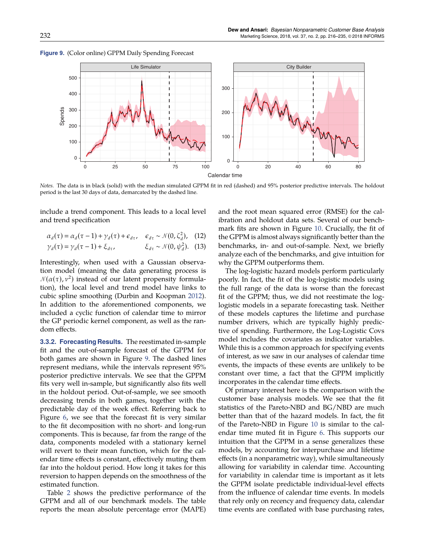<span id="page-16-0"></span>

**Figure 9.** (Color online) GPPM Daily Spending Forecast

*Notes.* The data is in black (solid) with the median simulated GPPM fit in red (dashed) and 95% posterior predictive intervals. The holdout period is the last 30 days of data, demarcated by the dashed line.

include a trend component. This leads to a local level and trend specification

$$
\alpha_d(\tau) = \alpha_d(\tau - 1) + \gamma_d(\tau) + \epsilon_{d\tau}, \quad \epsilon_{d\tau} \sim \mathcal{N}(0, \zeta_d^2), \quad (12)
$$

$$
\gamma_d(\tau) = \gamma_d(\tau - 1) + \xi_{d\tau}, \qquad \xi_{d\tau} \sim \mathcal{N}(0, \psi_d^2). \tag{13}
$$

Interestingly, when used with a Gaussian observation model (meaning the data generating process is  $\mathcal{N}(\alpha(\tau), \nu^2)$  instead of our latent propensity formulation), the local level and trend model have links to cubic spline smoothing (Durbin and Koopman [2012\)](#page-19-30). In addition to the aforementioned components, we included a cyclic function of calendar time to mirror the GP periodic kernel component, as well as the random effects.

<span id="page-16-1"></span>**3.3.2. Forecasting Results.** The reestimated in-sample fit and the out-of-sample forecast of the GPPM for both games are shown in Figure [9.](#page-16-0) The dashed lines represent medians, while the intervals represent 95% posterior predictive intervals. We see that the GPPM fits very well in-sample, but significantly also fits well in the holdout period. Out-of-sample, we see smooth decreasing trends in both games, together with the predictable day of the week effect. Referring back to Figure [6,](#page-11-3) we see that the forecast fit is very similar to the fit decomposition with no short- and long-run components. This is because, far from the range of the data, components modeled with a stationary kernel will revert to their mean function, which for the calendar time effects is constant, effectively muting them far into the holdout period. How long it takes for this reversion to happen depends on the smoothness of the estimated function.

Table [2](#page-17-0) shows the predictive performance of the GPPM and all of our benchmark models. The table reports the mean absolute percentage error (MAPE) and the root mean squared error (RMSE) for the calibration and holdout data sets. Several of our benchmark fits are shown in Figure [10.](#page-17-1) Crucially, the fit of the GPPM is almost always significantly better than the benchmarks, in- and out-of-sample. Next, we briefly analyze each of the benchmarks, and give intuition for why the GPPM outperforms them.

The log-logistic hazard models perform particularly poorly. In fact, the fit of the log-logistic models using the full range of the data is worse than the forecast fit of the GPPM; thus, we did not reestimate the loglogistic models in a separate forecasting task. Neither of these models captures the lifetime and purchase number drivers, which are typically highly predictive of spending. Furthermore, the Log-Logistic Covs model includes the covariates as indicator variables. While this is a common approach for specifying events of interest, as we saw in our analyses of calendar time events, the impacts of these events are unlikely to be constant over time, a fact that the GPPM implicitly incorporates in the calendar time effects.

Of primary interest here is the comparison with the customer base analysis models. We see that the fit statistics of the Pareto-NBD and BG/NBD are much better than that of the hazard models. In fact, the fit of the Pareto-NBD in Figure [10](#page-17-1) is similar to the calendar time muted fit in Figure [6.](#page-11-3) This supports our intuition that the GPPM in a sense generalizes these models, by accounting for interpurchase and lifetime effects (in a nonparametric way), while simultaneously allowing for variability in calendar time. Accounting for variability in calendar time is important as it lets the GPPM isolate predictable individual-level effects from the influence of calendar time events. In models that rely only on recency and frequency data, calendar time events are conflated with base purchasing rates,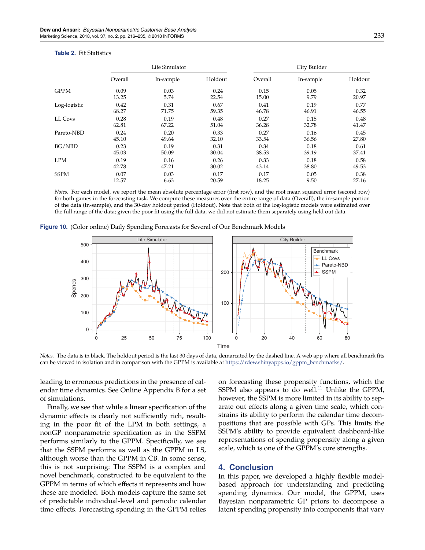#### <span id="page-17-0"></span>**Table 2.** Fit Statistics

|              |         | Life Simulator |         |         | City Builder |         |
|--------------|---------|----------------|---------|---------|--------------|---------|
|              | Overall | In-sample      | Holdout | Overall | In-sample    | Holdout |
| <b>GPPM</b>  | 0.09    | 0.03           | 0.24    | 0.15    | 0.05         | 0.32    |
|              | 13.25   | 5.74           | 22.54   | 15.00   | 9.79         | 20.97   |
| Log-logistic | 0.42    | 0.31           | 0.67    | 0.41    | 0.19         | 0.77    |
|              | 68.27   | 71.75          | 59.35   | 46.78   | 46.91        | 46.55   |
| LL Covs      | 0.28    | 0.19           | 0.48    | 0.27    | 0.15         | 0.48    |
|              | 62.81   | 67.22          | 51.04   | 36.28   | 32.78        | 41.47   |
| Pareto-NBD   | 0.24    | 0.20           | 0.33    | 0.27    | 0.16         | 0.45    |
|              | 45.10   | 49.64          | 32.10   | 33.54   | 36.56        | 27.80   |
| BG/NBD       | 0.23    | 0.19           | 0.31    | 0.34    | 0.18         | 0.61    |
|              | 45.03   | 50.09          | 30.04   | 38.53   | 39.19        | 37.41   |
| <b>LPM</b>   | 0.19    | 0.16           | 0.26    | 0.33    | 0.18         | 0.58    |
|              | 42.78   | 47.21          | 30.02   | 43.14   | 38.80        | 49.53   |
| <b>SSPM</b>  | 0.07    | 0.03           | 0.17    | 0.17    | 0.05         | 0.38    |
|              | 12.57   | 6.63           | 20.59   | 18.25   | 9.50         | 27.16   |

*Notes.* For each model, we report the mean absolute percentage error (first row), and the root mean squared error (second row) for both games in the forecasting task. We compute these measures over the entire range of data (Overall), the in-sample portion of the data (In-sample), and the 30-day holdout period (Holdout). Note that both of the log-logistic models were estimated over the full range of the data; given the poor fit using the full data, we did not estimate them separately using held out data.

**Figure 10.** (Color online) Daily Spending Forecasts for Several of Our Benchmark Models

<span id="page-17-1"></span>

*Notes.* The data is in black. The holdout period is the last 30 days of data, demarcated by the dashed line. A web app where all benchmark fits can be viewed in isolation and in comparison with the GPPM is available at [https://rdew.shinyapps.io/gppm\\_benchmarks/.](https://rdew.shinyapps.io/gppm_benchmarks/)

leading to erroneous predictions in the presence of calendar time dynamics. See Online Appendix B for a set of simulations.

Finally, we see that while a linear specification of the dynamic effects is clearly not sufficiently rich, resulting in the poor fit of the LPM in both settings, a nonGP nonparametric specification as in the SSPM performs similarly to the GPPM. Specifically, we see that the SSPM performs as well as the GPPM in LS, although worse than the GPPM in CB. In some sense, this is not surprising: The SSPM is a complex and novel benchmark, constructed to be equivalent to the GPPM in terms of which effects it represents and how these are modeled. Both models capture the same set of predictable individual-level and periodic calendar time effects. Forecasting spending in the GPPM relies <span id="page-17-2"></span>on forecasting these propensity functions, which the SSPM also appears to do well.<sup>[11](#page-19-31)</sup> Unlike the GPPM, however, the SSPM is more limited in its ability to separate out effects along a given time scale, which constrains its ability to perform the calendar time decompositions that are possible with GPs. This limits the SSPM's ability to provide equivalent dashboard-like representations of spending propensity along a given scale, which is one of the GPPM's core strengths.

## **4. Conclusion**

In this paper, we developed a highly flexible modelbased approach for understanding and predicting spending dynamics. Our model, the GPPM, uses Bayesian nonparametric GP priors to decompose a latent spending propensity into components that vary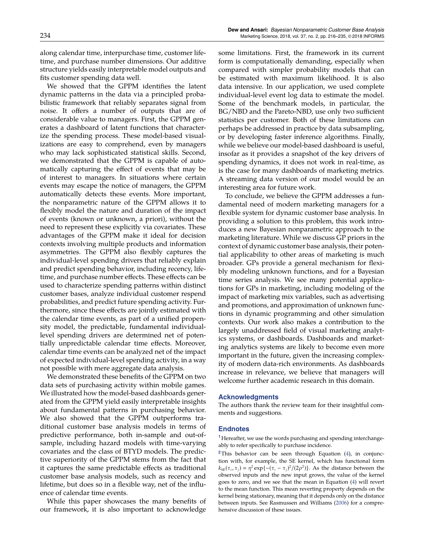along calendar time, interpurchase time, customer lifetime, and purchase number dimensions. Our additive structure yields easily interpretable model outputs and fits customer spending data well.

We showed that the GPPM identifies the latent dynamic patterns in the data via a principled probabilistic framework that reliably separates signal from noise. It offers a number of outputs that are of considerable value to managers. First, the GPPM generates a dashboard of latent functions that characterize the spending process. These model-based visualizations are easy to comprehend, even by managers who may lack sophisticated statistical skills. Second, we demonstrated that the GPPM is capable of automatically capturing the effect of events that may be of interest to managers. In situations where certain events may escape the notice of managers, the GPPM automatically detects these events. More important, the nonparametric nature of the GPPM allows it to flexibly model the nature and duration of the impact of events (known or unknown, a priori), without the need to represent these explicitly via covariates. These advantages of the GPPM make it ideal for decision contexts involving multiple products and information asymmetries. The GPPM also flexibly captures the individual-level spending drivers that reliably explain and predict spending behavior, including recency, lifetime, and purchase number effects. These effects can be used to characterize spending patterns within distinct customer bases, analyze individual customer respend probabilities, and predict future spending activity. Furthermore, since these effects are jointly estimated with the calendar time events, as part of a unified propensity model, the predictable, fundamental individuallevel spending drivers are determined net of potentially unpredictable calendar time effects. Moreover, calendar time events can be analyzed net of the impact of expected individual-level spending activity, in a way not possible with mere aggregate data analysis.

We demonstrated these benefits of the GPPM on two data sets of purchasing activity within mobile games. We illustrated how the model-based dashboards generated from the GPPM yield easily interpretable insights about fundamental patterns in purchasing behavior. We also showed that the GPPM outperforms traditional customer base analysis models in terms of predictive performance, both in-sample and out-ofsample, including hazard models with time-varying covariates and the class of BTYD models. The predictive superiority of the GPPM stems from the fact that it captures the same predictable effects as traditional customer base analysis models, such as recency and lifetime, but does so in a flexible way, net of the influence of calendar time events.

While this paper showcases the many benefits of our framework, it is also important to acknowledge some limitations. First, the framework in its current form is computationally demanding, especially when compared with simpler probability models that can be estimated with maximum likelihood. It is also data intensive. In our application, we used complete individual-level event log data to estimate the model. Some of the benchmark models, in particular, the BG/NBD and the Pareto-NBD, use only two sufficient statistics per customer. Both of these limitations can perhaps be addressed in practice by data subsampling, or by developing faster inference algorithms. Finally, while we believe our model-based dashboard is useful, insofar as it provides a snapshot of the key drivers of spending dynamics, it does not work in real-time, as is the case for many dashboards of marketing metrics. A streaming data version of our model would be an interesting area for future work.

To conclude, we believe the GPPM addresses a fundamental need of modern marketing managers for a flexible system for dynamic customer base analysis. In providing a solution to this problem, this work introduces a new Bayesian nonparametric approach to the marketing literature. While we discuss GP priors in the context of dynamic customer base analysis, their potential applicability to other areas of marketing is much broader. GPs provide a general mechanism for flexibly modeling unknown functions, and for a Bayesian time series analysis. We see many potential applications for GPs in marketing, including modeling of the impact of marketing mix variables, such as advertising and promotions, and approximation of unknown functions in dynamic programming and other simulation contexts. Our work also makes a contribution to the largely unaddressed field of visual marketing analytics systems, or dashboards. Dashboards and marketing analytics systems are likely to become even more important in the future, given the increasing complexity of modern data-rich environments. As dashboards increase in relevance, we believe that managers will welcome further academic research in this domain.

#### **Acknowledgments**

The authors thank the review team for their insightful comments and suggestions.

#### **Endnotes**

<span id="page-18-0"></span>**[1](#page-2-2)**Hereafter, we use the words purchasing and spending interchangeably to refer specifically to purchase incidence.

<span id="page-18-1"></span>**[2](#page-3-2)**This behavior can be seen through Equation [\(4\)](#page-3-1), in conjunction with, for example, the SE kernel, which has functional form  $k_{SE}(\tau_i, \tau_j) = \eta^2 \exp\{- (\tau_i - \tau_j)^2 / (2\rho^2) \}.$  As the distance between the observed inputs and the new input grows, the value of the kernel goes to zero, and we see that the mean in Equation [\(4\)](#page-3-1) will revert to the mean function. This mean reverting property depends on the kernel being stationary, meaning that it depends only on the distance between inputs. See Rasmussen and Williams [\(2006\)](#page-19-14) for a comprehensive discussion of these issues.